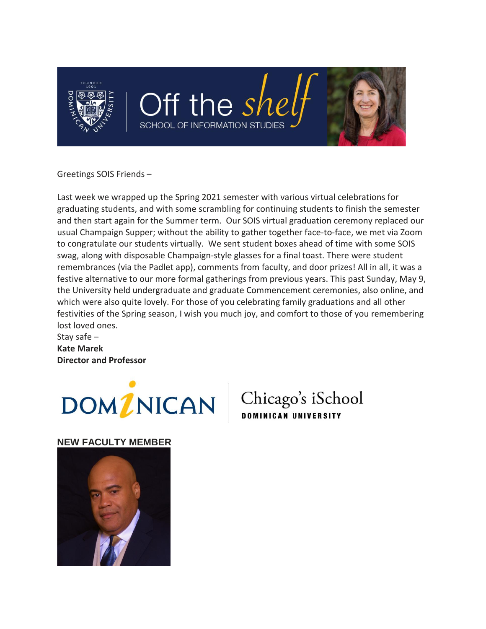

Greetings SOIS Friends –

Last week we wrapped up the Spring 2021 semester with various virtual celebrations for graduating students, and with some scrambling for continuing students to finish the semester and then start again for the Summer term. Our SOIS virtual graduation ceremony replaced our usual Champaign Supper; without the ability to gather together face-to-face, we met via Zoom to congratulate our students virtually. We sent student boxes ahead of time with some SOIS swag, along with disposable Champaign-style glasses for a final toast. There were student remembrances (via the Padlet app), comments from faculty, and door prizes! All in all, it was a festive alternative to our more formal gatherings from previous years. This past Sunday, May 9, the University held undergraduate and graduate Commencement ceremonies, also online, and which were also quite lovely. For those of you celebrating family graduations and all other festivities of the Spring season, I wish you much joy, and comfort to those of you remembering lost loved ones.

Stay safe – **Kate Marek Director and Professor**



**DOMINICAN UNIVERSITY** 

**NEW FACULTY MEMBER**

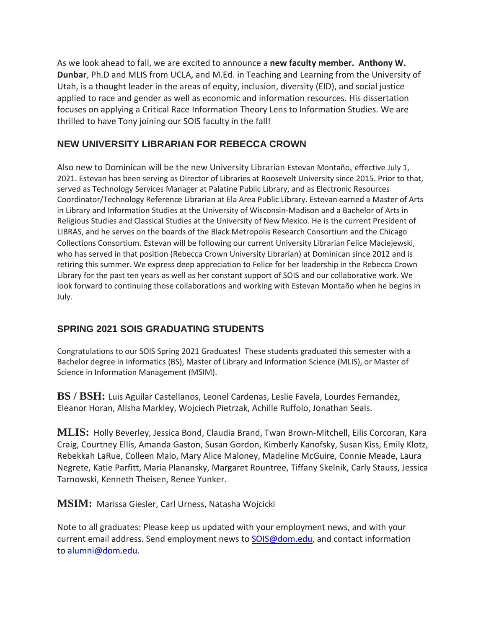As we look ahead to fall, we are excited to announce a **new faculty member. Anthony W. Dunbar**, Ph.D and MLIS from UCLA, and M.Ed. in Teaching and Learning from the University of Utah, is a thought leader in the areas of equity, inclusion, diversity (EID), and social justice applied to race and gender as well as economic and information resources. His dissertation focuses on applying a Critical Race Information Theory Lens to Information Studies. We are thrilled to have Tony joining our SOIS faculty in the fall!

## **NEW UNIVERSITY LIBRARIAN FOR REBECCA CROWN**

Also new to Dominican will be the new University Librarian Estevan Montaño, effective July 1, 2021. Estevan has been serving as Director of Libraries at Roosevelt University since 2015. Prior to that, served as Technology Services Manager at Palatine Public Library, and as Electronic Resources Coordinator/Technology Reference Librarian at Ela Area Public Library. Estevan earned a Master of Arts in Library and Information Studies at the University of Wisconsin-Madison and a Bachelor of Arts in Religious Studies and Classical Studies at the University of New Mexico. He is the current President of LIBRAS, and he serves on the boards of the Black Metropolis Research Consortium and the Chicago Collections Consortium. Estevan will be following our current University Librarian Felice Maciejewski, who has served in that position (Rebecca Crown University Librarian) at Dominican since 2012 and is retiring this summer. We express deep appreciation to Felice for her leadership in the Rebecca Crown Library for the past ten years as well as her constant support of SOIS and our collaborative work. We look forward to continuing those collaborations and working with Estevan Montaño when he begins in July.

## **SPRING 2021 SOIS GRADUATING STUDENTS**

Congratulations to our SOIS Spring 2021 Graduates! These students graduated this semester with a Bachelor degree in Informatics (BS), Master of Library and Information Science (MLIS), or Master of Science in Information Management (MSIM).

**BS / BSH:** Luis Aguilar Castellanos, Leonel Cardenas, Leslie Favela, Lourdes Fernandez, Eleanor Horan, Alisha Markley, Wojciech Pietrzak, Achille Ruffolo, Jonathan Seals.

**MLIS:** Holly Beverley, Jessica Bond, Claudia Brand, Twan Brown-Mitchell, Eilis Corcoran, Kara Craig, Courtney Ellis, Amanda Gaston, Susan Gordon, Kimberly Kanofsky, Susan Kiss, Emily Klotz, Rebekkah LaRue, Colleen Malo, Mary Alice Maloney, Madeline McGuire, Connie Meade, Laura Negrete, Katie Parfitt, Maria Planansky, Margaret Rountree, Tiffany Skelnik, Carly Stauss, Jessica Tarnowski, Kenneth Theisen, Renee Yunker.

**MSIM:** Marissa Giesler, Carl Urness, Natasha Wojcicki

Note to all graduates: Please keep us updated with your employment news, and with your current email address. Send employment news to **SOIS@dom.edu**, and contact information to [alumni@dom.edu.](mailto:alumni@dom.edu)